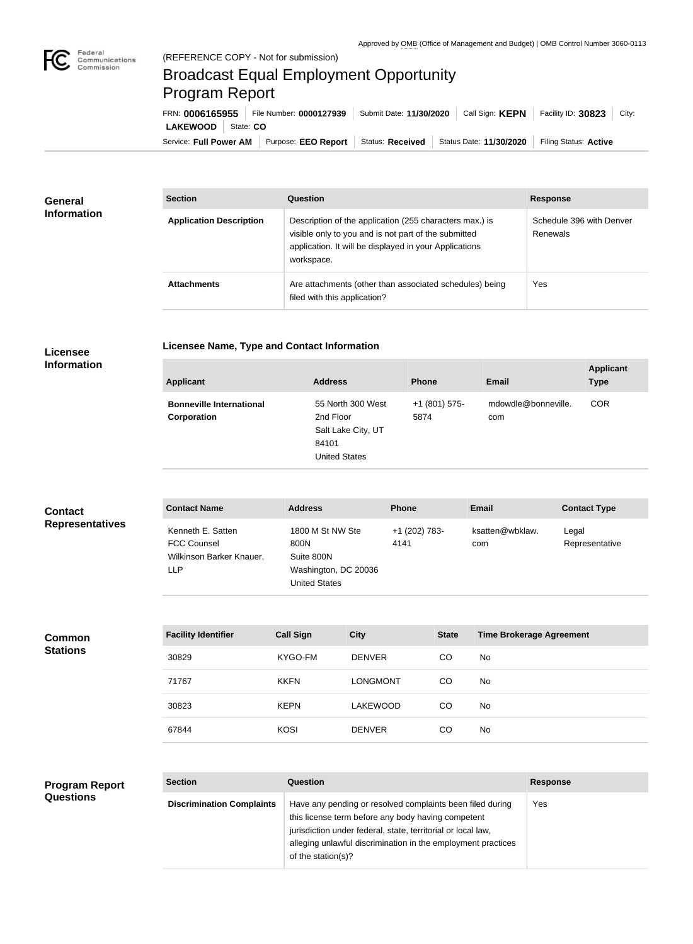

## Broadcast Equal Employment Opportunity Program Report

**Licensee Name, Type and Contact Information**

Service: Full Power AM | Purpose: EEO Report | Status: Received | Status Date: 11/30/2020 | Filing Status: Active **LAKEWOOD** State: **CO** FRN: **0006165955** File Number: **0000127939** Submit Date: **11/30/2020** Call Sign: **KEPN** Facility ID: **30823** City:

| <b>General</b><br><b>Information</b> | <b>Section</b>                 | Question                                                                                                                                                                                | <b>Response</b>                      |  |
|--------------------------------------|--------------------------------|-----------------------------------------------------------------------------------------------------------------------------------------------------------------------------------------|--------------------------------------|--|
|                                      | <b>Application Description</b> | Description of the application (255 characters max.) is<br>visible only to you and is not part of the submitted<br>application. It will be displayed in your Applications<br>workspace. | Schedule 396 with Denver<br>Renewals |  |
|                                      | <b>Attachments</b>             | Are attachments (other than associated schedules) being<br>filed with this application?                                                                                                 | Yes                                  |  |

## **Licensee Information**

| <b>Applicant</b>                               | <b>Address</b>                                                                        | <b>Phone</b>          | Email                      | <b>Applicant</b><br><b>Type</b> |
|------------------------------------------------|---------------------------------------------------------------------------------------|-----------------------|----------------------------|---------------------------------|
| <b>Bonneville International</b><br>Corporation | 55 North 300 West<br>2nd Floor<br>Salt Lake City, UT<br>84101<br><b>United States</b> | +1 (801) 575-<br>5874 | mdowdle@bonneville.<br>com | <b>COR</b>                      |

| <b>Contact</b>         | <b>Contact Name</b>                                                               | <b>Address</b>                                                                  | <b>Phone</b>          | <b>Email</b>           | <b>Contact Type</b>     |
|------------------------|-----------------------------------------------------------------------------------|---------------------------------------------------------------------------------|-----------------------|------------------------|-------------------------|
| <b>Representatives</b> | Kenneth E. Satten<br><b>FCC Counsel</b><br>Wilkinson Barker Knauer,<br><b>LLP</b> | 1800 M St NW Ste<br>800N<br>Suite 800N<br>Washington, DC 20036<br>United States | +1 (202) 783-<br>4141 | ksatten@wbklaw.<br>com | Legal<br>Representative |

| <b>Facility Identifier</b> | <b>Call Sign</b> | <b>City</b>     | <b>State</b> | <b>Time Brokerage Agreement</b> |
|----------------------------|------------------|-----------------|--------------|---------------------------------|
| 30829                      | KYGO-FM          | <b>DENVER</b>   | CO.          | <b>No</b>                       |
| 71767                      | <b>KKFN</b>      | <b>LONGMONT</b> | CO           | No                              |
| 30823                      | <b>KEPN</b>      | <b>LAKEWOOD</b> | CO.          | No                              |
| 67844                      | <b>KOSI</b>      | <b>DENVER</b>   | CO           | <b>No</b>                       |

## **Program Report Questions**

**Common Stations**

| <b>Section</b>                   | Question                                                                                                                                                                                                                                                              | <b>Response</b> |
|----------------------------------|-----------------------------------------------------------------------------------------------------------------------------------------------------------------------------------------------------------------------------------------------------------------------|-----------------|
| <b>Discrimination Complaints</b> | Have any pending or resolved complaints been filed during<br>this license term before any body having competent<br>jurisdiction under federal, state, territorial or local law,<br>alleging unlawful discrimination in the employment practices<br>of the station(s)? | Yes             |